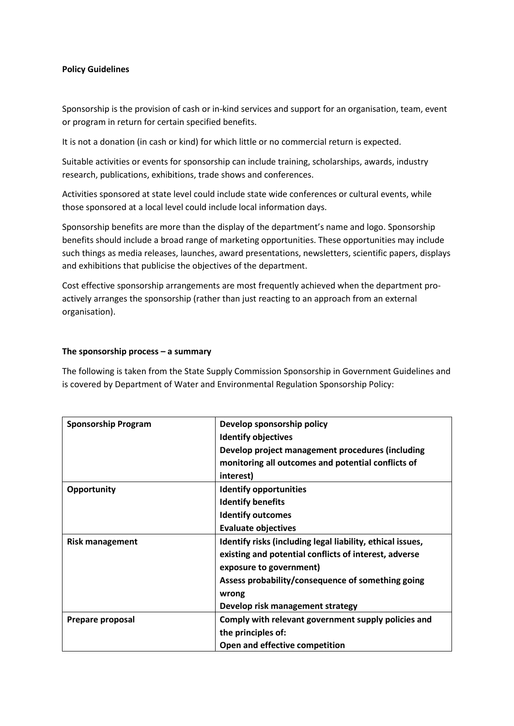## **Policy Guidelines**

Sponsorship is the provision of cash or in-kind services and support for an organisation, team, event or program in return for certain specified benefits.

It is not a donation (in cash or kind) for which little or no commercial return is expected.

Suitable activities or events for sponsorship can include training, scholarships, awards, industry research, publications, exhibitions, trade shows and conferences.

Activities sponsored at state level could include state wide conferences or cultural events, while those sponsored at a local level could include local information days.

Sponsorship benefits are more than the display of the department's name and logo. Sponsorship benefits should include a broad range of marketing opportunities. These opportunities may include such things as media releases, launches, award presentations, newsletters, scientific papers, displays and exhibitions that publicise the objectives of the department.

Cost effective sponsorship arrangements are most frequently achieved when the department proactively arranges the sponsorship (rather than just reacting to an approach from an external organisation).

## **The sponsorship process – a summary**

The following is taken from the State Supply Commission Sponsorship in Government Guidelines and is covered by Department of Water and Environmental Regulation Sponsorship Policy:

| <b>Sponsorship Program</b> | Develop sponsorship policy                                 |
|----------------------------|------------------------------------------------------------|
|                            | <b>Identify objectives</b>                                 |
|                            | Develop project management procedures (including           |
|                            | monitoring all outcomes and potential conflicts of         |
|                            | interest)                                                  |
| Opportunity                | <b>Identify opportunities</b>                              |
|                            | <b>Identify benefits</b>                                   |
|                            | <b>Identify outcomes</b>                                   |
|                            | <b>Evaluate objectives</b>                                 |
| <b>Risk management</b>     | Identify risks (including legal liability, ethical issues, |
|                            | existing and potential conflicts of interest, adverse      |
|                            | exposure to government)                                    |
|                            | Assess probability/consequence of something going          |
|                            | wrong                                                      |
|                            | Develop risk management strategy                           |
| Prepare proposal           | Comply with relevant government supply policies and        |
|                            | the principles of:                                         |
|                            | Open and effective competition                             |